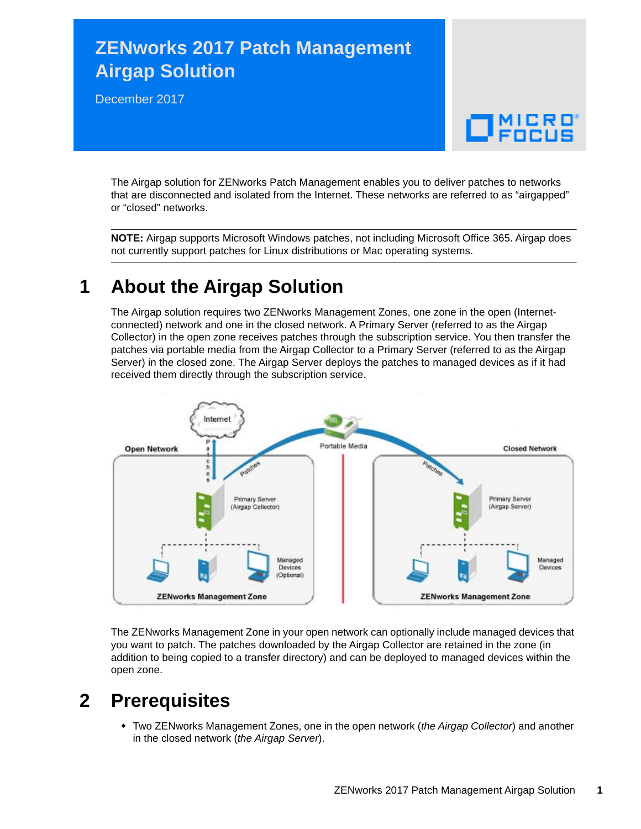# **ZENworks 2017 Patch Management Airgap Solution**

December 2017

# $\Box$ MICRO

The Airgap solution for ZENworks Patch Management enables you to deliver patches to networks that are disconnected and isolated from the Internet. These networks are referred to as "airgapped" or "closed" networks.

**NOTE:** Airgap supports Microsoft Windows patches, not including Microsoft Office 365. Airgap does not currently support patches for Linux distributions or Mac operating systems.

## **1 About the Airgap Solution**

The Airgap solution requires two ZENworks Management Zones, one zone in the open (Internetconnected) network and one in the closed network. A Primary Server (referred to as the Airgap Collector) in the open zone receives patches through the subscription service. You then transfer the patches via portable media from the Airgap Collector to a Primary Server (referred to as the Airgap Server) in the closed zone. The Airgap Server deploys the patches to managed devices as if it had received them directly through the subscription service.



The ZENworks Management Zone in your open network can optionally include managed devices that you want to patch. The patches downloaded by the Airgap Collector are retained in the zone (in addition to being copied to a transfer directory) and can be deployed to managed devices within the open zone.

## **2 Prerequisites**

 Two ZENworks Management Zones, one in the open network (*the Airgap Collector*) and another in the closed network (*the Airgap Server*).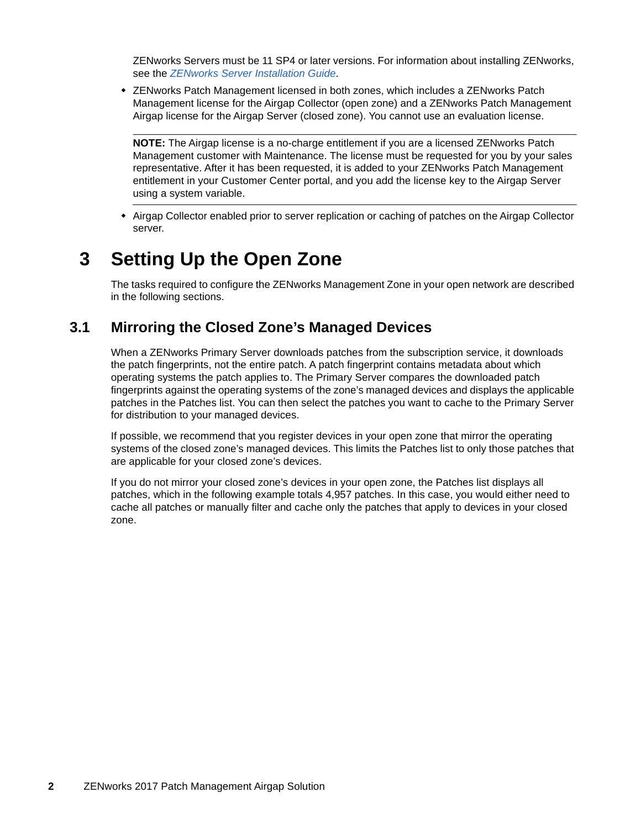ZENworks Servers must be 11 SP4 or later versions. For information about installing ZENworks, see the *[ZENworks Server Installation Guide](https://www.novell.com/documentation/zenworks2017/pdfdoc/zen_installation/zen_installation.pdf#bookinfo)*.

 ZENworks Patch Management licensed in both zones, which includes a ZENworks Patch Management license for the Airgap Collector (open zone) and a ZENworks Patch Management Airgap license for the Airgap Server (closed zone). You cannot use an evaluation license.

**NOTE:** The Airgap license is a no-charge entitlement if you are a licensed ZENworks Patch Management customer with Maintenance. The license must be requested for you by your sales representative. After it has been requested, it is added to your ZENworks Patch Management entitlement in your Customer Center portal, and you add the license key to the Airgap Server using a system variable.

 Airgap Collector enabled prior to server replication or caching of patches on the Airgap Collector server.

## **3 Setting Up the Open Zone**

The tasks required to configure the ZENworks Management Zone in your open network are described in the following sections.

#### <span id="page-1-0"></span>**3.1 Mirroring the Closed Zone's Managed Devices**

When a ZENworks Primary Server downloads patches from the subscription service, it downloads the patch fingerprints, not the entire patch. A patch fingerprint contains metadata about which operating systems the patch applies to. The Primary Server compares the downloaded patch fingerprints against the operating systems of the zone's managed devices and displays the applicable patches in the Patches list. You can then select the patches you want to cache to the Primary Server for distribution to your managed devices.

If possible, we recommend that you register devices in your open zone that mirror the operating systems of the closed zone's managed devices. This limits the Patches list to only those patches that are applicable for your closed zone's devices.

If you do not mirror your closed zone's devices in your open zone, the Patches list displays all patches, which in the following example totals 4,957 patches. In this case, you would either need to cache all patches or manually filter and cache only the patches that apply to devices in your closed zone.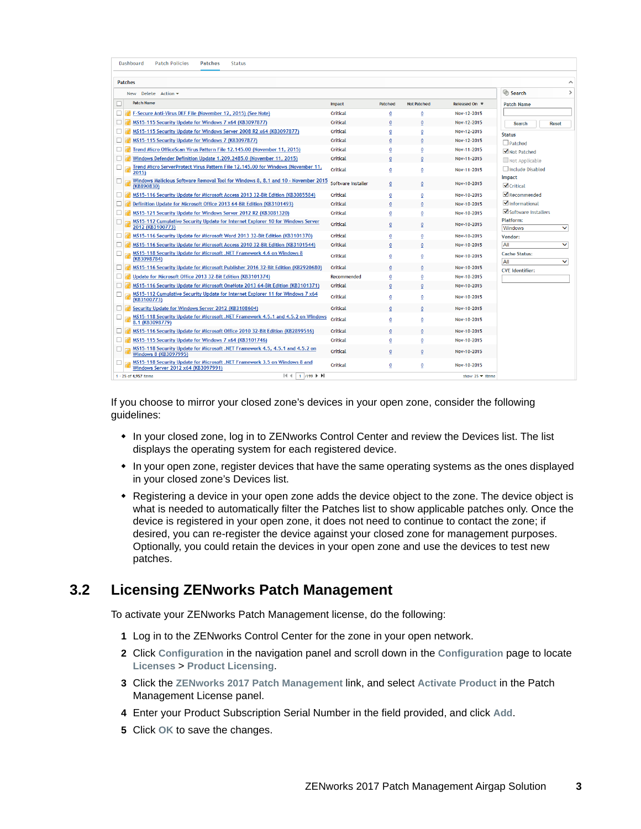| Dashboard<br><b>Patch Policies</b><br><b>Patches</b><br><b>Status</b>                                             |                    |              |                    |                                       |                                     |
|-------------------------------------------------------------------------------------------------------------------|--------------------|--------------|--------------------|---------------------------------------|-------------------------------------|
| <b>Patches</b>                                                                                                    |                    |              |                    |                                       |                                     |
| New Delete Action -                                                                                               |                    |              |                    |                                       | Search<br>$\mathcal{P}$             |
| <b>Patch Name</b><br>ш                                                                                            | Impact             | Patched      | <b>Not Patched</b> | Released On $\overline{\overline{v}}$ | <b>Patch Name</b>                   |
| F-Secure Anti-Virus DEF File (November 12, 2015) (See Note)                                                       | Critical           | 0            | 0                  | Nov-12-2015                           |                                     |
| MS15-115 Security Update for Windows 7 x64 (KB3097877)                                                            | Critical           | 0            | 0                  | Nov-12-2015                           | <b>Search</b><br><b>Reset</b>       |
| MS15-115 Security Update for Windows Server 2008 R2 x64 (KB3097877)                                               | Critical           | 0            | 0                  | Nov-12-2015                           | <b>Status</b>                       |
| MS15-115 Security Update for Windows 7 (KB3097877)                                                                | Critical           | 0            | 0                  | Nov-12-2015                           | $\Box$ Patched                      |
| Trend Micro OfficeScan Virus Pattern File 12.145.00 (November 11, 2015)                                           | Critical           | 0            | 0                  | Nov-11-2015                           | √ Not Patched                       |
| Windows Defender Definition Update 1.209.2485.0 (November 11, 2015)                                               | Critical           |              |                    | Nov-11-2015                           | Not Applicable                      |
| Trend Micro ServerProtect Virus Pattern File 12.145.00 for Windows (November 11,<br>ш<br>2015)                    | Critical           | 0            | 0                  | Nov-11-2015                           | Include Disabled<br><b>Impact</b>   |
| Windows Malicious Software Removal Tool for Windows 8, 8.1 and 10 - November 2015<br>□<br>(KB890830)              | Software Installer | 0            | $\mathbf{0}$       | Nov-10-2015                           | $\sqrt{\overline{\text{C}}$ ritical |
| MS15-116 Security Update for Microsoft Access 2013 32-Bit Edition (KB3085584)                                     | Critical           | $\bf{0}$     | 0                  | Nov-10-2015                           | $\blacktriangleright$ Recommended   |
| Definition Update for Microsoft Office 2013 64-Bit Edition (KB3101493)<br>Ш                                       | Critical           | $\mathbf{0}$ | $\mathbf{0}$       | Nov-10-2015                           | $\blacksquare$ Informational        |
| MS15-121 Security Update for Windows Server 2012 R2 (KB3081320)<br>П                                              | Critical           | 0            | 0                  | Nov-10-2015                           | Software Installers                 |
| MS15-112 Cumulative Security Update for Internet Explorer 10 for Windows Server<br>2012 (KB3100773)               | Critical           | $\bf{0}$     | 0                  | Nov-10-2015                           | Platform:<br>Windows<br>◡           |
| MS15-116 Security Update for Microsoft Word 2013 32-Bit Edition (KB3101370)                                       | Critical           | 0            | $\mathbf 0$        | Nov-10-2015                           | Vendor:                             |
| MS15-116 Security Update for Microsoft Access 2010 32-Bit Edition (KB3101544)                                     | Critical           |              |                    | Nov-10-2015                           | All<br>$\checkmark$                 |
| MS15-118 Security Update for Microsoft .NET Framework 4.6 on Windows 8<br>(KB3098784)                             | Critical           | 0            | $\bf{0}$           | Nov-10-2015                           | <b>Cache Status:</b><br>All<br>◡    |
| MS15-116 Security Update for Microsoft Publisher 2016 32-Bit Edition (KB2920680)                                  | Critical           |              | $\mathbf{0}$       | Nov-10-2015                           | <b>CVE</b> Identifier:              |
| Update for Microsoft Office 2013 32-Bit Edition (KB3101374)                                                       | Recommended        |              | $\mathbf 0$        | Nov-10-2015                           |                                     |
| MS15-116 Security Update for Microsoft OneNote 2013 64-Bit Edition (KB3101371)                                    | Critical           |              | $\mathbf{0}$       | Nov-10-2015                           |                                     |
| MS15-112 Cumulative Security Update for Internet Explorer 11 for Windows 7 x64<br>□<br>(KB3100773)                | Critical           | 0            | $\bf{0}$           | Nov-10-2015                           |                                     |
| Security Update for Windows Server 2012 (KB3108604)                                                               | Critical           |              |                    | Nov-10-2015                           |                                     |
| MS15-118 Security Update for Microsoft .NET Framework 4.5.1 and 4.5.2 on Windows<br>8.1 (KB3098779)               | Critical           | 0            | 0                  | Nov-10-2015                           |                                     |
| MS15-116 Security Update for Microsoft Office 2010 32-Bit Edition (KB2899516)                                     | Critical           |              |                    | Nov-10-2015                           |                                     |
| MS15-115 Security Update for Windows 7 x64 (KB3101746)<br>ш                                                       | Critical           | 0            | $\bf{0}$           | Nov-10-2015                           |                                     |
| MS15-118 Security Update for Microsoft .NET Framework 4.5, 4.5.1 and 4.5.2 on<br>Windows 8 (KB3097995)            | Critical           | 0            | 0                  | Nov-10-2015                           |                                     |
| MS15-118 Security Update for Microsoft .NET Framework 3.5 on Windows 8 and<br>Windows Server 2012 x64 (KB3097991) | Critical           | 0            | 0                  | Nov-10-2015                           |                                     |
| $1/199$ $\blacktriangleright$ $\blacktriangleright$<br> 44<br>1 - 25 of 4,957 items                               |                    |              |                    | show $25 -$ items                     |                                     |

If you choose to mirror your closed zone's devices in your open zone, consider the following guidelines:

- In your closed zone, log in to ZENworks Control Center and review the Devices list. The list displays the operating system for each registered device.
- In your open zone, register devices that have the same operating systems as the ones displayed in your closed zone's Devices list.
- Registering a device in your open zone adds the device object to the zone. The device object is what is needed to automatically filter the Patches list to show applicable patches only. Once the device is registered in your open zone, it does not need to continue to contact the zone; if desired, you can re-register the device against your closed zone for management purposes. Optionally, you could retain the devices in your open zone and use the devices to test new patches.

#### **3.2 Licensing ZENworks Patch Management**

To activate your ZENworks Patch Management license, do the following:

- **1** Log in to the ZENworks Control Center for the zone in your open network.
- **2** Click **Configuration** in the navigation panel and scroll down in the **Configuration** page to locate **Licenses** > **Product Licensing**.
- **3** Click the **ZENworks 2017 Patch Management** link, and select **Activate Product** in the Patch Management License panel.
- **4** Enter your Product Subscription Serial Number in the field provided, and click **Add**.
- **5** Click **OK** to save the changes.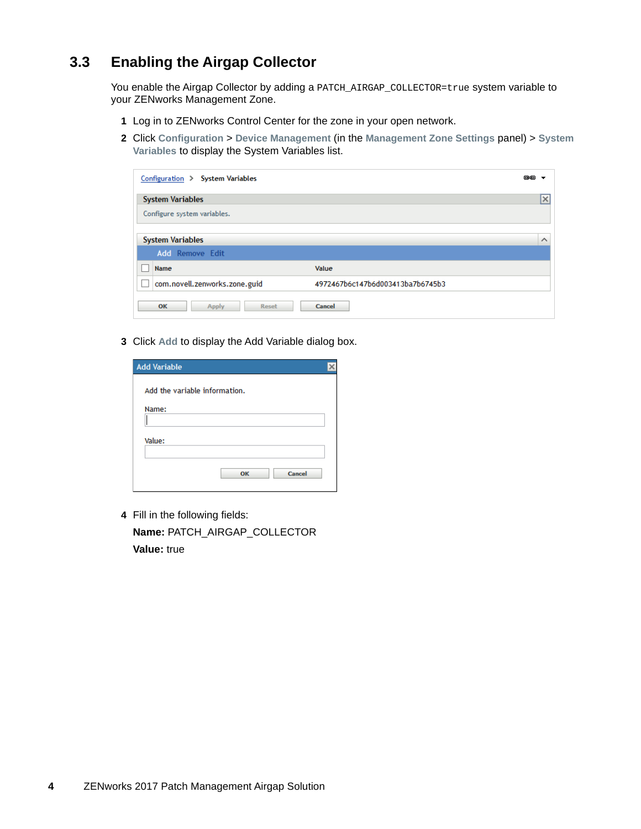#### <span id="page-3-0"></span>**3.3 Enabling the Airgap Collector**

You enable the Airgap Collector by adding a PATCH\_AIRGAP\_COLLECTOR=true system variable to your ZENworks Management Zone.

- **1** Log in to ZENworks Control Center for the zone in your open network.
- **2** Click **Configuration** > **Device Management** (in the **Management Zone Settings** panel) > **System Variables** to display the System Variables list.

| Configuration > System Variables |                                  | œÐ                               |
|----------------------------------|----------------------------------|----------------------------------|
| <b>System Variables</b>          |                                  | <b><i><u>Programment</u></i></b> |
| Configure system variables.      |                                  |                                  |
| <b>System Variables</b>          |                                  | $\wedge$                         |
| <b>Add</b> Remove Edit           |                                  |                                  |
| Name                             | Value                            |                                  |
| com.novell.zenworks.zone.guid    | 4972467b6c147b6d003413ba7b6745b3 |                                  |
| OK<br>Apply<br>Reset             | Cancel                           |                                  |

**3** Click **Add** to display the Add Variable dialog box.

| <b>Add Variable</b>           |  |
|-------------------------------|--|
| Add the variable information. |  |
| Name:                         |  |
|                               |  |
| Value:                        |  |
| Cancel<br>OK                  |  |

**4** Fill in the following fields: **Name:** PATCH\_AIRGAP\_COLLECTOR **Value:** true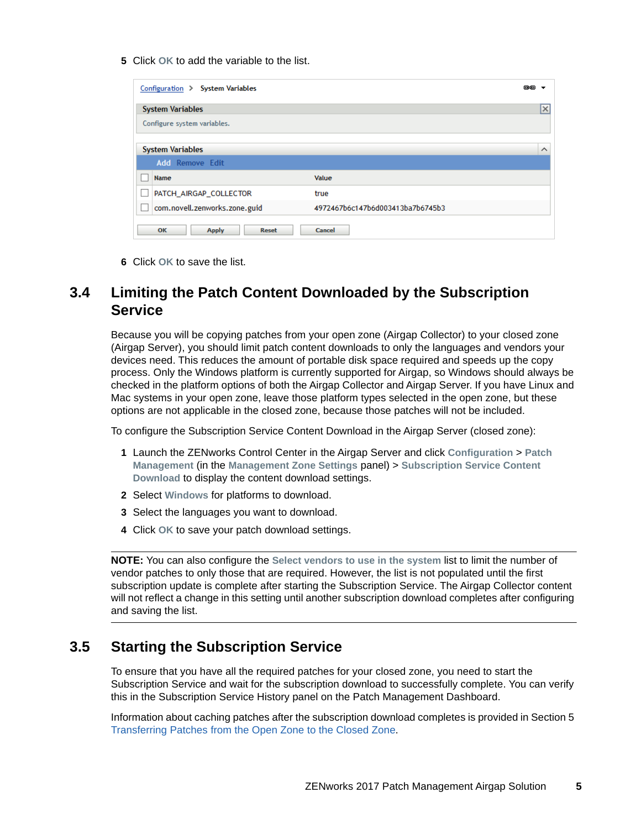**5** Click **OK** to add the variable to the list.

| Configuration > System Variables   |                                  | 色色        |
|------------------------------------|----------------------------------|-----------|
| <b>System Variables</b>            |                                  | <u>Ix</u> |
| Configure system variables.        |                                  |           |
|                                    |                                  |           |
| <b>System Variables</b>            |                                  | $\wedge$  |
| <b>Add Remove Edit</b>             |                                  |           |
| Name                               | Value                            |           |
| PATCH_AIRGAP_COLLECTOR             | true                             |           |
| com.novell.zenworks.zone.guid      | 4972467b6c147b6d003413ba7b6745b3 |           |
| OK<br><b>Apply</b><br><b>Reset</b> | Cancel                           |           |

**6** Click **OK** to save the list.

#### **3.4 Limiting the Patch Content Downloaded by the Subscription Service**

Because you will be copying patches from your open zone (Airgap Collector) to your closed zone (Airgap Server), you should limit patch content downloads to only the languages and vendors your devices need. This reduces the amount of portable disk space required and speeds up the copy process. Only the Windows platform is currently supported for Airgap, so Windows should always be checked in the platform options of both the Airgap Collector and Airgap Server. If you have Linux and Mac systems in your open zone, leave those platform types selected in the open zone, but these options are not applicable in the closed zone, because those patches will not be included.

To configure the Subscription Service Content Download in the Airgap Server (closed zone):

- **1** Launch the ZENworks Control Center in the Airgap Server and click **Configuration** > **Patch Management** (in the **Management Zone Settings** panel) > **Subscription Service Content Download** to display the content download settings.
- **2** Select **Windows** for platforms to download.
- **3** Select the languages you want to download.
- **4** Click **OK** to save your patch download settings.

**NOTE:** You can also configure the **Select vendors to use in the system** list to limit the number of vendor patches to only those that are required. However, the list is not populated until the first subscription update is complete after starting the Subscription Service. The Airgap Collector content will not reflect a change in this setting until another subscription download completes after configuring and saving the list.

#### **3.5 Starting the Subscription Service**

To ensure that you have all the required patches for your closed zone, you need to start the Subscription Service and wait for the subscription download to successfully complete. You can verify this in the Subscription Service History panel on the Patch Management Dashboard.

Information about caching patches after the subscription download completes is provided in Section 5 [Transferring Patches from the Open Zone to the Closed Zone.](#page-7-0)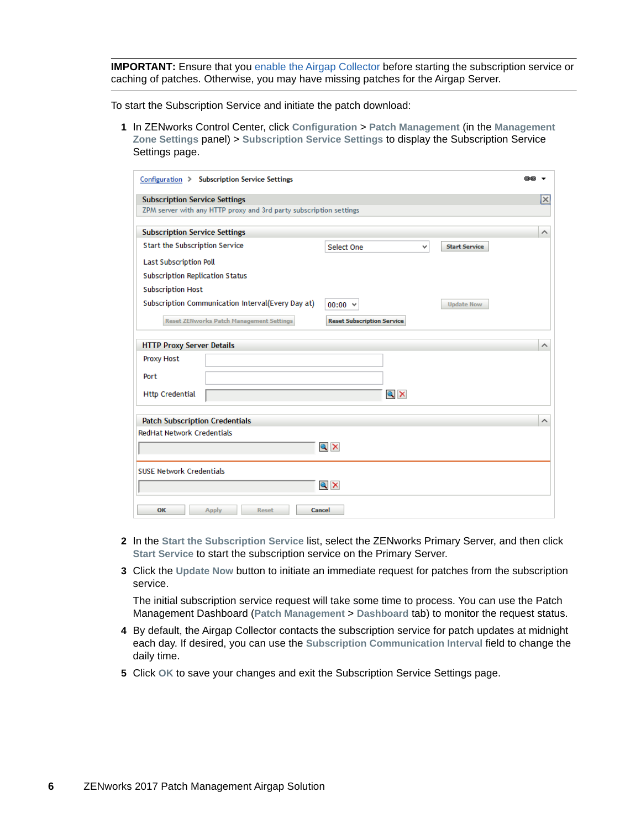**IMPORTANT:** Ensure that you [enable the Airgap Collector](#page-3-0) before starting the subscription service or caching of patches. Otherwise, you may have missing patches for the Airgap Server.

To start the Subscription Service and initiate the patch download:

**1** In ZENworks Control Center, click **Configuration** > **Patch Management** (in the **Management Zone Settings** panel) > **Subscription Service Settings** to display the Subscription Service Settings page.

| Configuration > Subscription Service Settings                      |                                         | 色色       |
|--------------------------------------------------------------------|-----------------------------------------|----------|
| <b>Subscription Service Settings</b>                               |                                         | l×l      |
| ZPM server with any HTTP proxy and 3rd party subscription settings |                                         |          |
|                                                                    |                                         |          |
| <b>Subscription Service Settings</b>                               |                                         | ∧        |
| Start the Subscription Service                                     | Select One<br>v<br><b>Start Service</b> |          |
| <b>Last Subscription Poll</b>                                      |                                         |          |
| <b>Subscription Replication Status</b>                             |                                         |          |
| <b>Subscription Host</b>                                           |                                         |          |
| Subscription Communication Interval(Every Day at)                  | $00:00 \times$<br><b>Update Now</b>     |          |
| <b>Reset ZENworks Patch Management Settings</b>                    | <b>Reset Subscription Service</b>       |          |
|                                                                    |                                         |          |
| <b>HTTP Proxy Server Details</b>                                   |                                         | $\wedge$ |
| Proxy Host                                                         |                                         |          |
| Port                                                               |                                         |          |
| <b>Http Credential</b>                                             | $Q \times$                              |          |
| <b>Patch Subscription Credentials</b>                              |                                         | $\wedge$ |
| <b>RedHat Network Credentials</b>                                  |                                         |          |
|                                                                    | $Q \times$                              |          |
|                                                                    |                                         |          |
| <b>SUSE Network Credentials</b>                                    |                                         |          |
|                                                                    | $Q \times$                              |          |
| OK<br><b>Apply</b><br><b>Reset</b>                                 | Cancel                                  |          |

- **2** In the **Start the Subscription Service** list, select the ZENworks Primary Server, and then click **Start Service** to start the subscription service on the Primary Server.
- **3** Click the **Update Now** button to initiate an immediate request for patches from the subscription service.

The initial subscription service request will take some time to process. You can use the Patch Management Dashboard (**Patch Management** > **Dashboard** tab) to monitor the request status.

- **4** By default, the Airgap Collector contacts the subscription service for patch updates at midnight each day. If desired, you can use the **Subscription Communication Interval** field to change the daily time.
- **5** Click **OK** to save your changes and exit the Subscription Service Settings page.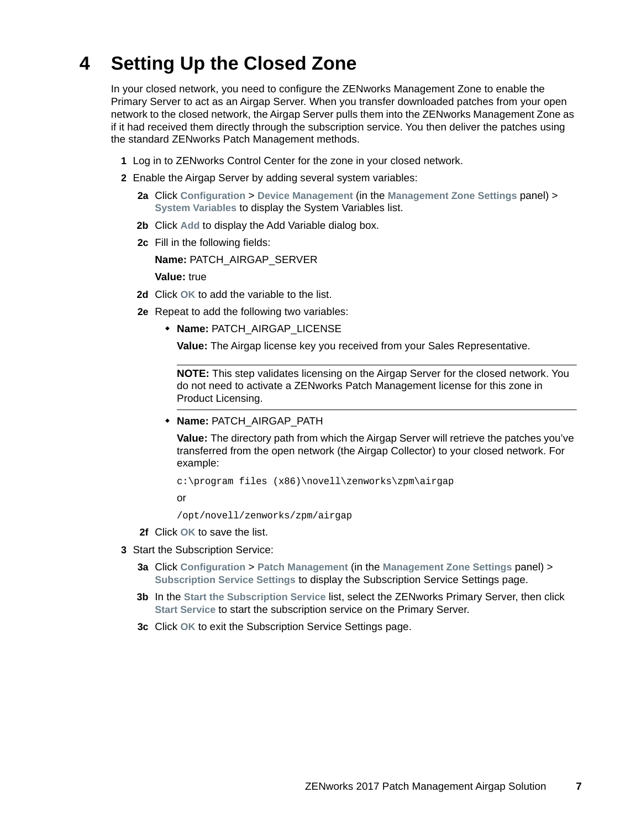## **4 Setting Up the Closed Zone**

In your closed network, you need to configure the ZENworks Management Zone to enable the Primary Server to act as an Airgap Server. When you transfer downloaded patches from your open network to the closed network, the Airgap Server pulls them into the ZENworks Management Zone as if it had received them directly through the subscription service. You then deliver the patches using the standard ZENworks Patch Management methods.

- **1** Log in to ZENworks Control Center for the zone in your closed network.
- **2** Enable the Airgap Server by adding several system variables:
	- **2a** Click **Configuration** > **Device Management** (in the **Management Zone Settings** panel) > **System Variables** to display the System Variables list.
	- **2b** Click **Add** to display the Add Variable dialog box.
	- **2c** Fill in the following fields:

**Name:** PATCH\_AIRGAP\_SERVER

**Value:** true

- **2d** Click **OK** to add the variable to the list.
- <span id="page-6-0"></span>**2e** Repeat to add the following two variables:
	- **Name:** PATCH\_AIRGAP\_LICENSE

**Value:** The Airgap license key you received from your Sales Representative.

**NOTE:** This step validates licensing on the Airgap Server for the closed network. You do not need to activate a ZENworks Patch Management license for this zone in Product Licensing.

**+ Name: PATCH AIRGAP PATH** 

**Value:** The directory path from which the Airgap Server will retrieve the patches you've transferred from the open network (the Airgap Collector) to your closed network. For example:

c:\program files (x86)\novell\zenworks\zpm\airgap

or

/opt/novell/zenworks/zpm/airgap

- **2f** Click **OK** to save the list.
- **3** Start the Subscription Service:
	- **3a** Click **Configuration** > **Patch Management** (in the **Management Zone Settings** panel) > **Subscription Service Settings** to display the Subscription Service Settings page.
	- **3b** In the **Start the Subscription Service** list, select the ZENworks Primary Server, then click **Start Service** to start the subscription service on the Primary Server.
	- **3c** Click **OK** to exit the Subscription Service Settings page.